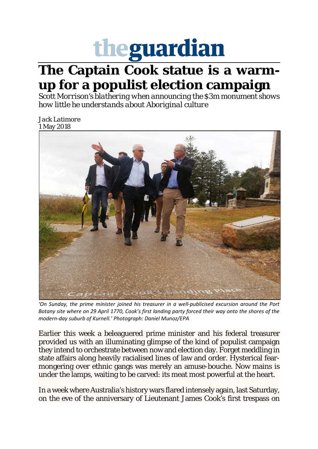## theguardian

## **The Captain Cook statue is a warmup for a populist election campaign**

*Scott Morrison's blathering when announcing the \$3m monument shows how little he understands about Aboriginal culture*

*Jack Latimore* [1 May 2018](https://www.theguardian.com/commentisfree/2018/may/01/the-captain-cook-statue-is-a-warm-up-for-a-populist-election-campaign#img-1)



*'On Sunday, the prime minister joined his treasurer in a well-publicised excursion around the Port Botany site where on 29 April 1770, Cook's first landing party forced their way onto the shores of the modern-day suburb of Kurnell.' Photograph: Daniel Munoz/EPA*

Earlier this week a beleaguered prime minister and his federal treasurer provided us with an illuminating glimpse of the kind of populist campaign they intend to orchestrate between now and election day. Forget meddling in state affairs along heavily racialised lines of law and order. Hysterical fearmongering over ethnic gangs was merely an amuse-bouche. Now mains is under the lamps, waiting to be carved: its meat most powerful at the heart.

In a week where Australia's history wars flared intensely again, last Saturday, on the eve of the anniversary of Lieutenant James Cook's first trespass on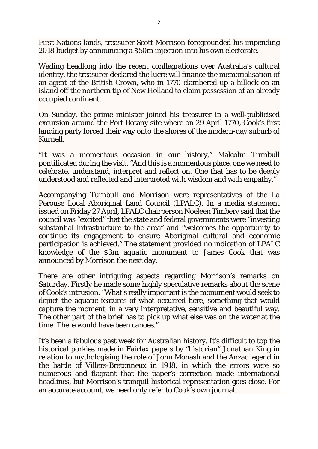First Nations lands, treasurer Scott Morrison foregrounded his impending 2018 budget by announcing a \$50m injection into his own electorate.

Wading headlong into the recent conflagrations over Australia's cultural identity, the treasurer declared the lucre will finance the memorialisation of an agent of the British Crown, who in 1770 clambered up a hillock on an island off the northern tip of New Holland to claim possession of an already occupied continent.

On Sunday, the prime minister joined his treasurer in a well-publicised excursion around the Port Botany site where on 29 April 1770, Cook's first landing party forced their way onto the shores of the modern-day suburb of Kurnell.

"It was a momentous occasion in our history," Malcolm Turnbull pontificated during the visit. "And this is a momentous place, one we need to celebrate, understand, interpret and reflect on. One that has to be deeply understood and reflected and interpreted with wisdom and with empathy."

Accompanying Turnbull and Morrison were representatives of the La Perouse Local Aboriginal Land Council (LPALC). In a media statement issued on Friday 27 April, LPALC chairperson Noeleen Timbery said that the council was "excited" that the state and federal governments were "investing substantial infrastructure to the area" and "welcomes the opportunity to continue its engagement to ensure Aboriginal cultural and economic participation is achieved." The statement provided no indication of LPALC knowledge of the \$3m aquatic monument to James Cook that was announced by Morrison the next day.

There are other intriguing aspects regarding Morrison's remarks on Saturday. Firstly he made some highly speculative remarks about the scene of Cook's intrusion. "What's really important is the monument would seek to depict the aquatic features of what occurred here, something that would capture the moment, in a very interpretative, sensitive and beautiful way. The other part of the brief has to pick up what else was on the water at the time. There would have been canoes."

It's been a fabulous past week for Australian history. It's difficult to top the historical porkies made in Fairfax papers by "historian" Jonathan King in relation to mythologising the role of John Monash and the Anzac legend in the battle of Villers-Bretonneux in 1918, in which the errors were so numerous and flagrant that the paper's correction made international headlines, but Morrison's tranquil historical representation goes close. For an accurate account, we need only refer to Cook's own journal.